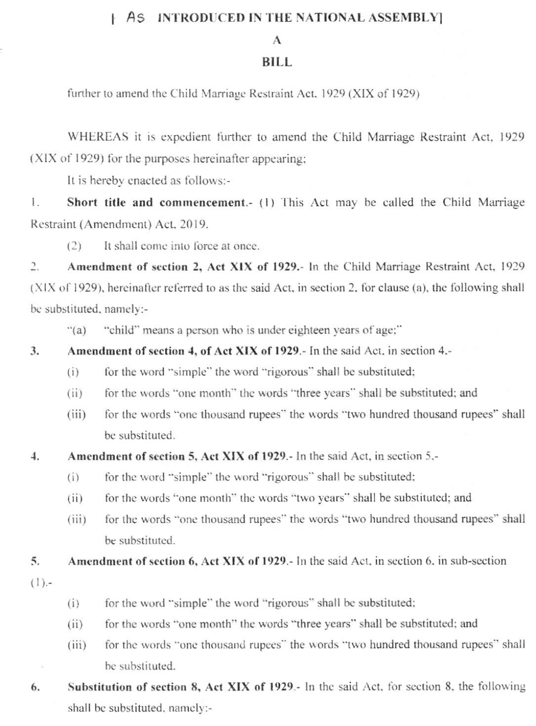### | AS INTRODUCED IN THE NATIONAL ASSEMBLY]

## $\mathbf{A}$

### **BILL**

further to amend the Child Marriage Restraint Act, 1929 (XIX of 1929)

WHEREAS it is expedient further to amend the Child Marriage Restraint Act, 1929 (XIX of 1929) for the purposes hereinafter appearing;

It is hereby enacted as follows:-

Short title and commencement.- (1) This Act may be called the Child Marriage  $\mathbb{I}$ . Restraint (Amendment) Act, 2019.

 $(2)$ It shall come into force at once.

Amendment of section 2, Act XIX of 1929.- In the Child Marriage Restraint Act, 1929  $2.$ (XIX of 1929), hereinafter referred to as the said Act, in section 2, for clause (a), the following shall be substituted, namely:-

 $\cdot$ <sup>'</sup>(a) "child" means a person who is under eighteen years of age;"

- Amendment of section 4, of Act XIX of 1929.- In the said Act, in section 4.-3.
	- for the word "simple" the word "rigorous" shall be substituted;  $(i)$
	- for the words "one month" the words "three years" shall be substituted; and  $(ii)$
	- for the words "one thousand rupees" the words "two hundred thousand rupees" shall  $(iii)$ be substituted.

#### Amendment of section 5, Act XIX of 1929. In the said Act, in section 5,- $\overline{4}$ .

- for the word "simple" the word "rigorous" shall be substituted;  $(i)$
- for the words "one month" the words "two years" shall be substituted; and  $(iii)$
- for the words "one thousand rupees" the words "two hundred thousand rupees" shall  $(iii)$ be substituted.

5. Amendment of section 6, Act XIX of 1929.- In the said Act, in section 6, in sub-section

- $(1).$
- for the word "simple" the word "rigorous" shall be substituted;  $(i)$
- for the words "one month" the words "three years" shall be substituted; and  $(ii)$
- for the words "one thousand rupees" the words "two hundred thousand rupees" shall  $(iii)$ be substituted.
- Substitution of section 8, Act XIX of 1929.- In the said Act, for section 8, the following 6. shall be substituted, namely:-